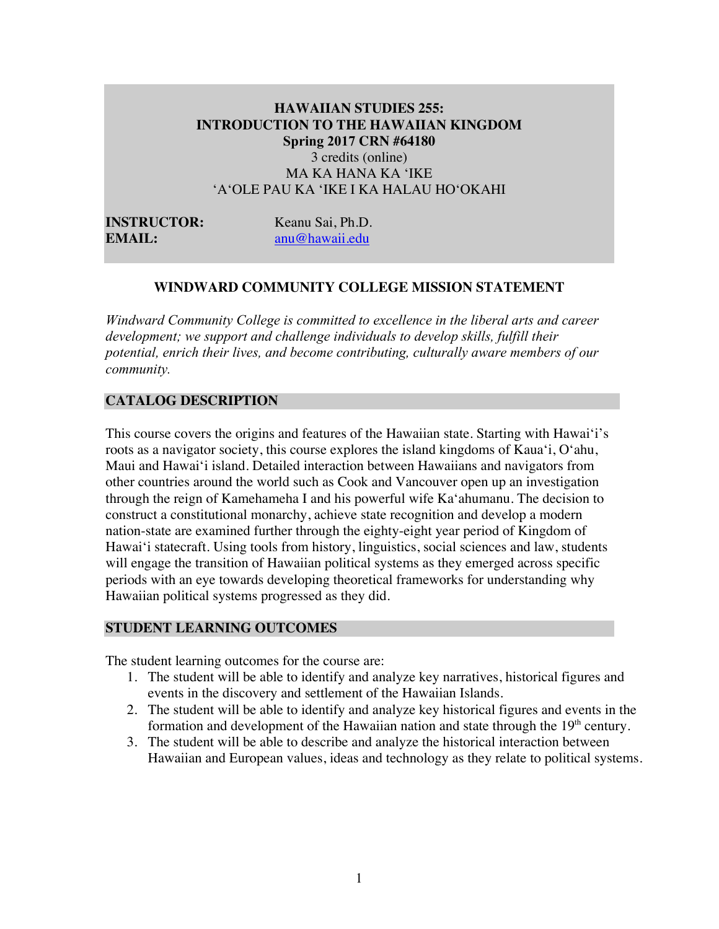# **HAWAIIAN STUDIES 255: INTRODUCTION TO THE HAWAIIAN KINGDOM Spring 2017 CRN #64180** 3 credits (online) MA KA HANA KA ʻIKE ʻAʻOLE PAU KA ʻIKE I KA HALAU HOʻOKAHI

**INSTRUCTOR:** Keanu Sai, Ph.D. **EMAIL:** anu@hawaii.edu

### **WINDWARD COMMUNITY COLLEGE MISSION STATEMENT**

*Windward Community College is committed to excellence in the liberal arts and career*  development; we support and challenge individuals to develop skills, fulfill their *potential, enrich their lives, and become contributing, culturally aware members of our community.*

#### **CATALOG DESCRIPTION**

This course covers the origins and features of the Hawaiian state. Starting with Hawai'i's roots as a navigator society, this course explores the island kingdoms of Kaua'i, O'ahu, Maui and Hawai'i island. Detailed interaction between Hawaiians and navigators from other countries around the world such as Cook and Vancouver open up an investigation through the reign of Kamehameha I and his powerful wife Ka'ahumanu. The decision to construct a constitutional monarchy, achieve state recognition and develop a modern nation-state are examined further through the eighty-eight year period of Kingdom of Hawai'i statecraft. Using tools from history, linguistics, social sciences and law, students will engage the transition of Hawaiian political systems as they emerged across specific periods with an eye towards developing theoretical frameworks for understanding why Hawaiian political systems progressed as they did.

#### **STUDENT LEARNING OUTCOMES**

The student learning outcomes for the course are:

- 1. The student will be able to identify and analyze key narratives, historical figures and events in the discovery and settlement of the Hawaiian Islands.
- 2. The student will be able to identify and analyze key historical figures and events in the formation and development of the Hawaiian nation and state through the  $19<sup>th</sup>$  century.
- 3. The student will be able to describe and analyze the historical interaction between Hawaiian and European values, ideas and technology as they relate to political systems.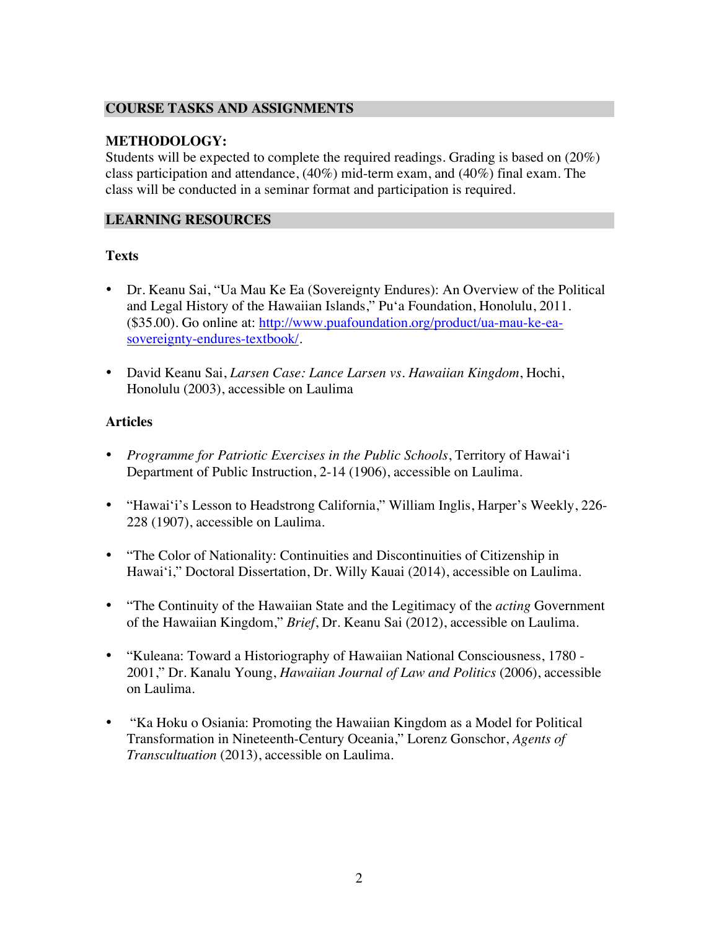# **COURSE TASKS AND ASSIGNMENTS**

### **METHODOLOGY:**

Students will be expected to complete the required readings. Grading is based on (20%) class participation and attendance, (40%) mid-term exam, and (40%) final exam. The class will be conducted in a seminar format and participation is required.

### **LEARNING RESOURCES**

# **Texts**

- Dr. Keanu Sai, "Ua Mau Ke Ea (Sovereignty Endures): An Overview of the Political and Legal History of the Hawaiian Islands," Pu'a Foundation, Honolulu, 2011. (\$35.00). Go online at: http://www.puafoundation.org/product/ua-mau-ke-easovereignty-endures-textbook/.
- David Keanu Sai, *Larsen Case: Lance Larsen vs. Hawaiian Kingdom*, Hochi, Honolulu (2003), accessible on Laulima

### **Articles**

- *Programme for Patriotic Exercises in the Public Schools*, Territory of Hawai'i Department of Public Instruction, 2-14 (1906), accessible on Laulima.
- "Hawai'i's Lesson to Headstrong California," William Inglis, Harper's Weekly, 226- 228 (1907), accessible on Laulima.
- "The Color of Nationality: Continuities and Discontinuities of Citizenship in Hawai'i," Doctoral Dissertation, Dr. Willy Kauai (2014), accessible on Laulima.
- "The Continuity of the Hawaiian State and the Legitimacy of the *acting* Government of the Hawaiian Kingdom," *Brief*, Dr. Keanu Sai (2012), accessible on Laulima.
- "Kuleana: Toward a Historiography of Hawaiian National Consciousness, 1780 2001," Dr. Kanalu Young, *Hawaiian Journal of Law and Politics* (2006), accessible on Laulima.
- "Ka Hoku o Osiania: Promoting the Hawaiian Kingdom as a Model for Political Transformation in Nineteenth-Century Oceania," Lorenz Gonschor, *Agents of Transcultuation* (2013), accessible on Laulima.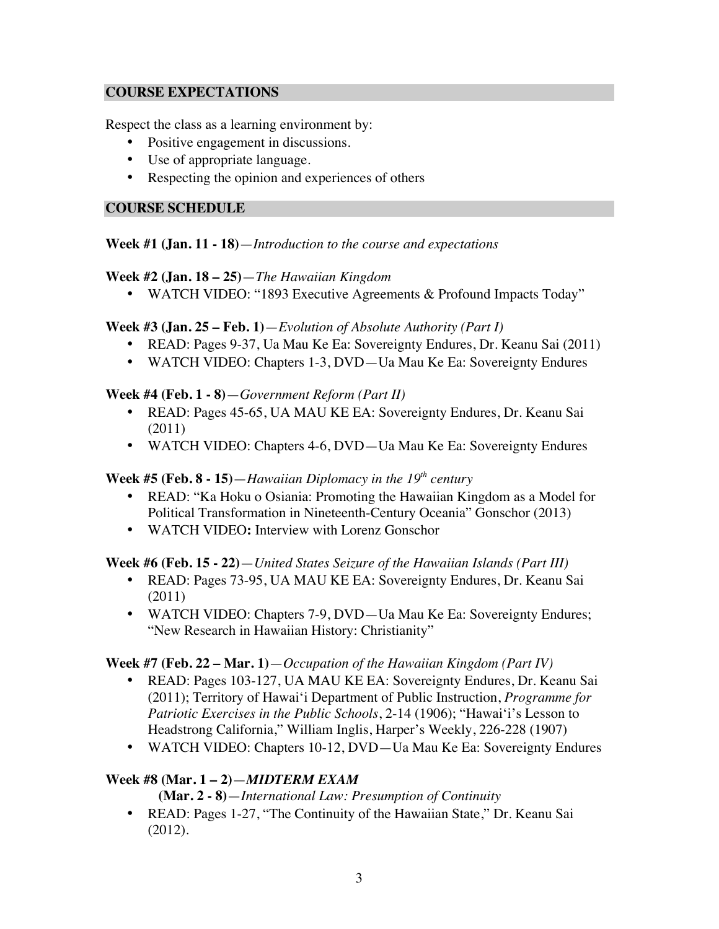#### **COURSE EXPECTATIONS**

Respect the class as a learning environment by:

- Positive engagement in discussions.
- Use of appropriate language.
- Respecting the opinion and experiences of others

#### **COURSE SCHEDULE**

**Week #1 (Jan. 11 - 18)**—*Introduction to the course and expectations*

### **Week #2 (Jan. 18 – 25)**—*The Hawaiian Kingdom*

• WATCH VIDEO: "1893 Executive Agreements & Profound Impacts Today"

# **Week #3 (Jan. 25 – Feb. 1)**—*Evolution of Absolute Authority (Part I)*

- READ: Pages 9-37, Ua Mau Ke Ea: Sovereignty Endures, Dr. Keanu Sai (2011)
- WATCH VIDEO: Chapters 1-3, DVD—Ua Mau Ke Ea: Sovereignty Endures

### **Week #4 (Feb. 1 - 8)**—*Government Reform (Part II)*

- READ: Pages 45-65, UA MAU KE EA: Sovereignty Endures, Dr. Keanu Sai (2011)
- WATCH VIDEO: Chapters 4-6, DVD—Ua Mau Ke Ea: Sovereignty Endures

# **Week #5 (Feb. 8 - 15)**—*Hawaiian Diplomacy in the 19th century*

- READ: "Ka Hoku o Osiania: Promoting the Hawaiian Kingdom as a Model for Political Transformation in Nineteenth-Century Oceania" Gonschor (2013)
- WATCH VIDEO**:** Interview with Lorenz Gonschor

# **Week #6 (Feb. 15 - 22)**—*United States Seizure of the Hawaiian Islands (Part III)*

- READ: Pages 73-95, UA MAU KE EA: Sovereignty Endures, Dr. Keanu Sai (2011)
- WATCH VIDEO: Chapters 7-9, DVD—Ua Mau Ke Ea: Sovereignty Endures; "New Research in Hawaiian History: Christianity"

# **Week #7 (Feb. 22 – Mar. 1)**—*Occupation of the Hawaiian Kingdom (Part IV)*

- READ: Pages 103-127, UA MAU KE EA: Sovereignty Endures, Dr. Keanu Sai (2011); Territory of Hawai'i Department of Public Instruction, *Programme for Patriotic Exercises in the Public Schools*, 2-14 (1906); "Hawai'i's Lesson to Headstrong California," William Inglis, Harper's Weekly, 226-228 (1907)
- WATCH VIDEO: Chapters 10-12, DVD—Ua Mau Ke Ea: Sovereignty Endures

# **Week #8 (Mar. 1 – 2)**—*MIDTERM EXAM*

 **(Mar. 2 - 8)**—*International Law: Presumption of Continuity* 

• READ: Pages 1-27, "The Continuity of the Hawaiian State," Dr. Keanu Sai (2012).